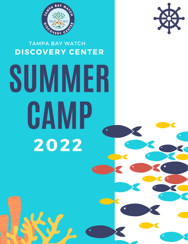

## TAMPA BAY WATCH **DISCOVERY CENTER**



# **SUMMER CAMP 2022**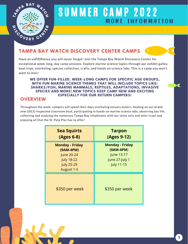

#### **TAMPA BAY WATCH DISCOVERY CENTER CAMPS**

Have an exPIERience you will never forget! Join the Tampa Bay Watch Discovery Center for exceptional week-long, day camp sessions. Explore marine science topics through our exhibit galley, boat trips, snorkeling, species collection, crafts, and hands on science labs. This is a camp you won't want to miss!

#### **WE OFFER FUN-FILLED, WEEK-LONG CAMPS FOR SPECIFIC AGE GROUPS, WITH FUN MARINE SCIENCE THEMES THAT WILL INCLUDE TOPICS LIKE: SHARKS/FISH, MARINE MAMMALS, REPTILES, ADAPTATIONS, INVASIVE SPECIES AND MORE! NEW TOPICS KEEP CAMP NEW AND EXCITING ESPECIALLY FOR OUR RETURN CAMPERS!**

#### **OVERVIEW**

Throughout the week, campers will spend their days snorkeling estuary waters, boating on our brand new USCG-inspected classroom boat, participating in hands-on marine science labs, observing bay life, collecting and studying the numerous Tampa Bay inhabitants with our seine nets and otter trawl and enjoying all that the St. Pete Pier has to offer!

| <b>Sea Squirts</b><br>(Ages 6-8)                                                                          | <b>Tarpon</b><br>(Ages 9-12)                                                               |
|-----------------------------------------------------------------------------------------------------------|--------------------------------------------------------------------------------------------|
| <b>Monday - Friday</b><br>(9AM-4PM)<br>June 20-24<br><b>July 18-22</b><br><b>July 25-29</b><br>August 1-5 | <b>Monday - Friday</b><br>$(9AM-4PM)$<br>June 13-17<br>June 27-July 1<br><b>July 11-15</b> |
| \$350 per week                                                                                            | \$350 per week                                                                             |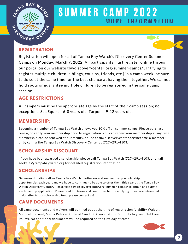



Registration will open for all of Tampa Bay Watch's Discovery Center Summer Camps on **Monday, March 7, 2022**. All participants must register online through our portal on our website thwdiscoverycenter.org/summer-camps/. If trying to register multiple children (siblings, cousins, friends, etc.) in a camp week, be sure to do so at the same time for the best chance at having them together. We cannot hold spots or guarantee multiple children to be registered in the same camp session.

#### **AGE RESTRICTIONS**

All campers must be the appropriate age by the start of their camp session; no exceptions. Sea Squirt – 6-8 years old, Tarpon – 9-12 years old.

#### **MEMBERSHIP:**

Becoming a member of Tampa Bay Watch allows you 10% off all summer camps. Please purchase, renew, or verify your membership prior to registration. You can renew your membership at any time. Membership can be renewed at our facility, online at thwdiscoverycenter.org/become-a-member/, or by calling the Tampa Bay Watch Discovery Center at (727)-291-4103.

#### **SCHOLARSHIP DISCOUNT**

If you have been awarded a scholarship, please call Tampa Bay Watch (727)-291-4103, or email zdekeles@tampabaywatch.org for detailed registration information.

#### **SCHOLARSHIPS**

Generous donations allow Tampa Bay Watch to offer several summer camp scholarship opportunities each year, and we hope to continue to be able to offer them this year at the Tampa Bay Watch Discovery Center. Please visit tbwdiscoverycenter.org/summer-camps/ to obtain and submit a scholarship application. Please read full terms and conditions before applying. If you are interested in donating to our scholarship fund, please contact us!

#### **CAMP DOCUMENTS**

All camp documents and waivers will be filled out at the time of registration (Liability Waiver, Medical Consent, Media Release, Code of Conduct, Cancellation/Refund Policy, and Nut Free Policy). No additional documents will be required on the first day of camp.

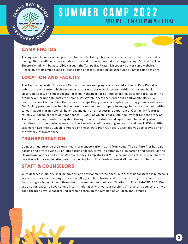



#### **CAMP PHOTOS**

Throughout the week of camp, counselors will be taking photos to capture all of the fun your child is having. Photos will be made available at the end of the summer at no charge through Shutterfly. The Shutterfly link will be accessible through the Tampa Bay Watch Discovery Center camp website. Please give staff ample time to upload camp photos succeeding all scheduled summer camp sessions.

#### **LOCATION AND FACILITY**

The Tampa Bay Watch Discovery Center summer camp program is located at the St. Pete Pier at our public outreach center which encompasses our outdoor wet-classroom, exhibit galley and back classroom space. This ideal coastal location in the heart of St. Pete offers limitless fun for all ages. The brand new pier not only hosts the Tampa Bay Watch Discovery Center but additionally offers 26 beautiful acres that combine the waters of Tampa Bay, green space, splash pad, playgrounds and more. Our facility provides a perfect home base for our summer campers to engage in hands-on opportunities to learn about marine science, have fun, and gain an unforgettable experience! Our facility features roughly 3,000 square feet of indoor space — 2,000 of which is our exhibit galley that tells the story of Tampa Bay's unique water ecosystem through hands on exhibits and aquariums. Our facility also includes an outdoor wet-classroom on the Pier with stadium seating and our brand new USCG-certified catamaran Eco-Vessel, which is moored on the St. Pete Pier. Our Eco-Vessel allows us to provide an onthe-water classroom space.

#### **TRANSPORTATION**

Campers must provide their own means of transportation to and from camp. The St. Pete Pier has paid parking and offers over 500 on-site parking spaces, as well as extensive bike parking and access via the Downtown Looper and Central Avenue Trolley. Camp starts at 9:00 a.m. and ends at 4:00 p.m. There will be a drop off/pick up location near the parking lot of Doc Fords where staff members will be stationed.

#### **STAFF & COUNSELORS**

With degrees in biology, marine biology, and environmental sciences, our professional staff has numerous years of experience teaching students of all ages in both formal and informal settings. They are on site facilitating each day of camp throughout the summer and hold certifications in First Aid/CPR/AED. We are also fortunate to have college interns helping us with various sessions. All staff and counselors have gone through Level 2 background screening through the Division of Children and Families.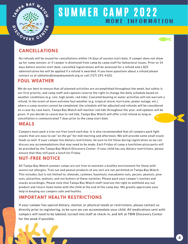



#### **CANCELLATIONS**

No refunds will be issued for cancellations within 14 days of session start date, if camper does not show up for camp session, or if camper is dismissed from camp by camp staff for behavioral issues. Prior to 14 days before session start date, cancelled registrations will be assessed for a refund and a \$25 administrative fee will be applied if a refund is awarded. If you have questions about a refund please contact us at zdekeles@tampabaywatch.org or call (727) 291-4103.

#### **FOUL WEATHER**

We do our best to ensure that all planned activities are accomplished throughout the week, but safety is our first priority, and camp staff and captains reserve the right to change the daily schedule based on weather conditions (e.g. rain, high winds, red tide). Canceled boating or water activities will not warrant a refund. In the event of more extreme foul weather (e.g. tropical storm, hurricane, power outage, etc.) where a camp session cannot be completed, the schedule will be adjusted and refunds will be considered on a case-by-case basis. Tampa Bay Watch will monitor red tide throughout the year, and updates will be given. If you decide to cancel due to red tide, Tampa Bay Watch will offer a full refund as long as cancellation is communicated 7 days prior to the camp start date.

#### **MEALS**

Campers must pack a tree-nut free lunch each day. It is also recommended that all campers pack light snacks that are easy to eat "on the go" for mid-morning and afternoon. We will provide some small snack foods as well. If your camper has dietary restrictions, be sure to list these during registration so we can discuss any accommodations that may need to be made. Each Friday of camp a lunchtime pizza party will be provided by the Tampa Bay Watch Discovery Center. If your child has any dietary restrictions, please ensure that they still pack a lunch for Friday.

#### **NUT-FREE NOTICE**

All Tampa Bay Watch summer camps are nut-free to maintain a healthy environment for those with severe nut allergies. Tree nut and peanut products of any sort are not permitted at Tampa Bay Watch. This includes, but is not limited to: almonds, cashews, hazelnuts, macadamia nuts, pecans, peanuts, pine nuts, pistachios, walnuts, and nut butters of these varieties. Please pack your camper's lunches and snacks accordingly. Please note that Tampa Bay Watch staff reserves the right to withhold any nut product and return items home with the child at the end of the camp day. We greatly appreciate your help in keeping our campers safe and healthy.

#### **IMPORTANT HEALTH RESTRICTIONS**

If your camper has special dietary, mental, or physical needs or restrictions, please contact us directly prior to registering, to be sure we can accommodate your child. All medications sent with campers will need to be labeled, turned into staff at check-in, and left at TBW Discovery Center for the week if possible.

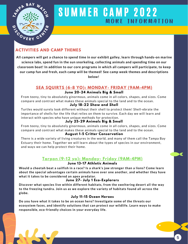

#### **ACTIVITIES AND CAMP THEMES**

**All campers will get a chance to spend time in our exhibit galley, learn through hands-on marine science labs, spend fun in the sun snorkeling, collecting animals and spending time on our classroom boat! In addition to our core programs in which all campers will participate, to keep our camp fun and fresh, each camp will be themed! See camp week themes and descriptions below!**

#### **SEA SQUIRTS (6-8 YO): MONDAY- FRIDAY (9AM-4PM)**

#### **June 20-24 Animals Big & Small**

From teeny, tiny to absolutely ginormous, animals come in all colors, shapes, and sizes. Come compare and contrast what makes these animals special to the land and to the ocean.

#### **July 18-22 Show and Shell**

Turtles would surely look different without their shell to protect them! Shell-ebrate the importance of shells for the life that relies on them to survive. Each day we will learn and interact with species who have unique methods for protection.

#### **July 25-29 Animals Big & Small**

From teeny, tiny to absolutely ginormous, animals come in all colors, shapes, and sizes. Come compare and contrast what makes these animals special to the land and to the ocean.

#### **August 1-5 Critter Conservation**

There is a wide variety of living creatures in the world, and many of them call the Tampa Bay Estuary their home. Together we will learn about the types of species in our environment, and ways we can help protect their home.

### **Tarpon (9-12 yo): Monday- Friday (9AM-4PM)**

#### **June 13-17 Athletic Animals**

Would a cheetah beat a sailfish in a race? Is a shark's jaw stronger than a lions? Come learn **about the special advantages certain animals have over one another, and whether they have what it takes to be considered an apex predator.**

#### **June 27- July 1 Eco-Explorers**

**Discover what species live within different habitats, from the sweltering desert all the way to the freezing tundra. Join us as we explore the variety of habitats found all across the globe.**

#### **July 11-15 Ocean Heroes**

**Do you have what it takes to be an ocean hero? Investigate some of the threats our ecosystem faces, and identify solutions that can protect our wildlife. Learn ways to make responsible, eco-friendly choices in your everyday life.**